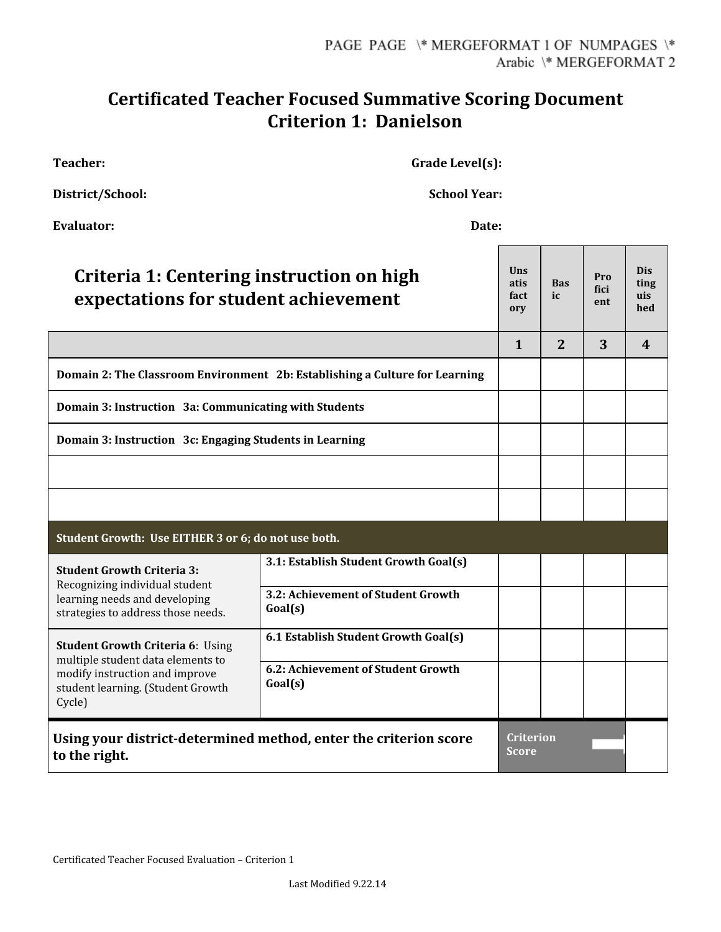## **Certificated Teacher Focused Summative Scoring Document Criterion 1: Danielson**

**Teacher: Grade** Level(s):

**District/School: School Year:**

| <b>Evaluator:</b><br>Date:                                                                                                                                    |                                               |                                   |                  |                    |                                  |  |  |
|---------------------------------------------------------------------------------------------------------------------------------------------------------------|-----------------------------------------------|-----------------------------------|------------------|--------------------|----------------------------------|--|--|
| Criteria 1: Centering instruction on high<br>expectations for student achievement                                                                             |                                               | <b>Uns</b><br>atis<br>fact<br>ory | <b>Bas</b><br>ic | Pro<br>fici<br>ent | <b>Dis</b><br>ting<br>uis<br>hed |  |  |
|                                                                                                                                                               |                                               | $\mathbf{1}$                      | $\overline{2}$   | 3                  | 4                                |  |  |
| Domain 2: The Classroom Environment 2b: Establishing a Culture for Learning                                                                                   |                                               |                                   |                  |                    |                                  |  |  |
| Domain 3: Instruction 3a: Communicating with Students                                                                                                         |                                               |                                   |                  |                    |                                  |  |  |
| Domain 3: Instruction 3c: Engaging Students in Learning                                                                                                       |                                               |                                   |                  |                    |                                  |  |  |
|                                                                                                                                                               |                                               |                                   |                  |                    |                                  |  |  |
|                                                                                                                                                               |                                               |                                   |                  |                    |                                  |  |  |
| Student Growth: Use EITHER 3 or 6; do not use both.                                                                                                           |                                               |                                   |                  |                    |                                  |  |  |
| <b>Student Growth Criteria 3:</b><br>Recognizing individual student<br>learning needs and developing<br>strategies to address those needs.                    | 3.1: Establish Student Growth Goal(s)         |                                   |                  |                    |                                  |  |  |
|                                                                                                                                                               | 3.2: Achievement of Student Growth<br>Goal(s) |                                   |                  |                    |                                  |  |  |
| <b>Student Growth Criteria 6: Using</b><br>multiple student data elements to<br>modify instruction and improve<br>student learning. (Student Growth<br>Cycle) | 6.1 Establish Student Growth Goal(s)          |                                   |                  |                    |                                  |  |  |
|                                                                                                                                                               | 6.2: Achievement of Student Growth<br>Goal(s) |                                   |                  |                    |                                  |  |  |
| Using your district-determined method, enter the criterion score<br>to the right.                                                                             |                                               | Criterion<br><b>Score</b>         |                  |                    |                                  |  |  |

Certificated Teacher Focused Evaluation – Criterion 1